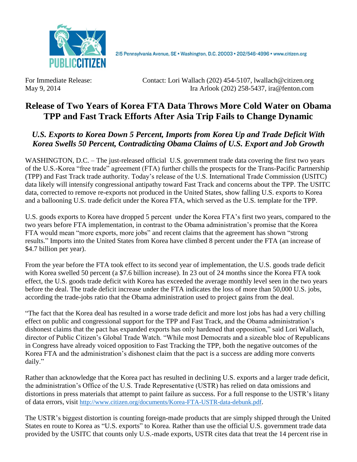

2I5 Pennsylvania Avenue, SE · Washington, D.C. 20003 · 202/546-4996 · www.citizen.org

For Immediate Release: Contact: Lori Wallach (202) 454-5107, lwallach@citizen.org May 9, 2014 Ira Arlook (202) 258-5437, ira@fenton.com

## **Release of Two Years of Korea FTA Data Throws More Cold Water on Obama TPP and Fast Track Efforts After Asia Trip Fails to Change Dynamic**

## *U.S. Exports to Korea Down 5 Percent, Imports from Korea Up and Trade Deficit With Korea Swells 50 Percent, Contradicting Obama Claims of U.S. Export and Job Growth*

WASHINGTON, D.C. – The just-released official U.S. government trade data covering the first two years of the U.S.-Korea "free trade" agreement (FTA) further chills the prospects for the Trans-Pacific Partnership (TPP) and Fast Track trade authority. Today's release of the U.S. International Trade Commission (USITC) data likely will intensify congressional antipathy toward Fast Track and concerns about the TPP. The USITC data, corrected to remove re-exports not produced in the United States, show falling U.S. exports to Korea and a ballooning U.S. trade deficit under the Korea FTA, which served as the U.S. template for the TPP.

U.S. goods exports to Korea have dropped 5 percent under the Korea FTA's first two years, compared to the two years before FTA implementation, in contrast to the Obama administration's promise that the Korea FTA would mean "more exports, more jobs" and recent claims that the agreement has shown "strong results." Imports into the United States from Korea have climbed 8 percent under the FTA (an increase of \$4.7 billion per year).

From the year before the FTA took effect to its second year of implementation, the U.S. goods trade deficit with Korea swelled 50 percent (a \$7.6 billion increase). In 23 out of 24 months since the Korea FTA took effect, the U.S. goods trade deficit with Korea has exceeded the average monthly level seen in the two years before the deal. The trade deficit increase under the FTA indicates the loss of more than 50,000 U.S. jobs, according the trade-jobs ratio that the Obama administration used to project gains from the deal.

"The fact that the Korea deal has resulted in a worse trade deficit and more lost jobs has had a very chilling effect on public and congressional support for the TPP and Fast Track, and the Obama administration's dishonest claims that the pact has expanded exports has only hardened that opposition," said Lori Wallach, director of Public Citizen's Global Trade Watch. "While most Democrats and a sizeable bloc of Republicans in Congress have already voiced opposition to Fast Tracking the TPP, both the negative outcomes of the Korea FTA and the administration's dishonest claim that the pact is a success are adding more converts daily."

Rather than acknowledge that the Korea pact has resulted in declining U.S. exports and a larger trade deficit, the administration's Office of the U.S. Trade Representative (USTR) has relied on data omissions and distortions in press materials that attempt to paint failure as success. For a full response to the USTR's litany of data errors, visit <http://www.citizen.org/documents/Korea-FTA-USTR-data-debunk.pdf>.

The USTR's biggest distortion is counting foreign-made products that are simply shipped through the United States en route to Korea as "U.S. exports" to Korea. Rather than use the official U.S. government trade data provided by the USITC that counts only U.S.-made exports, USTR cites data that treat the 14 percent rise in